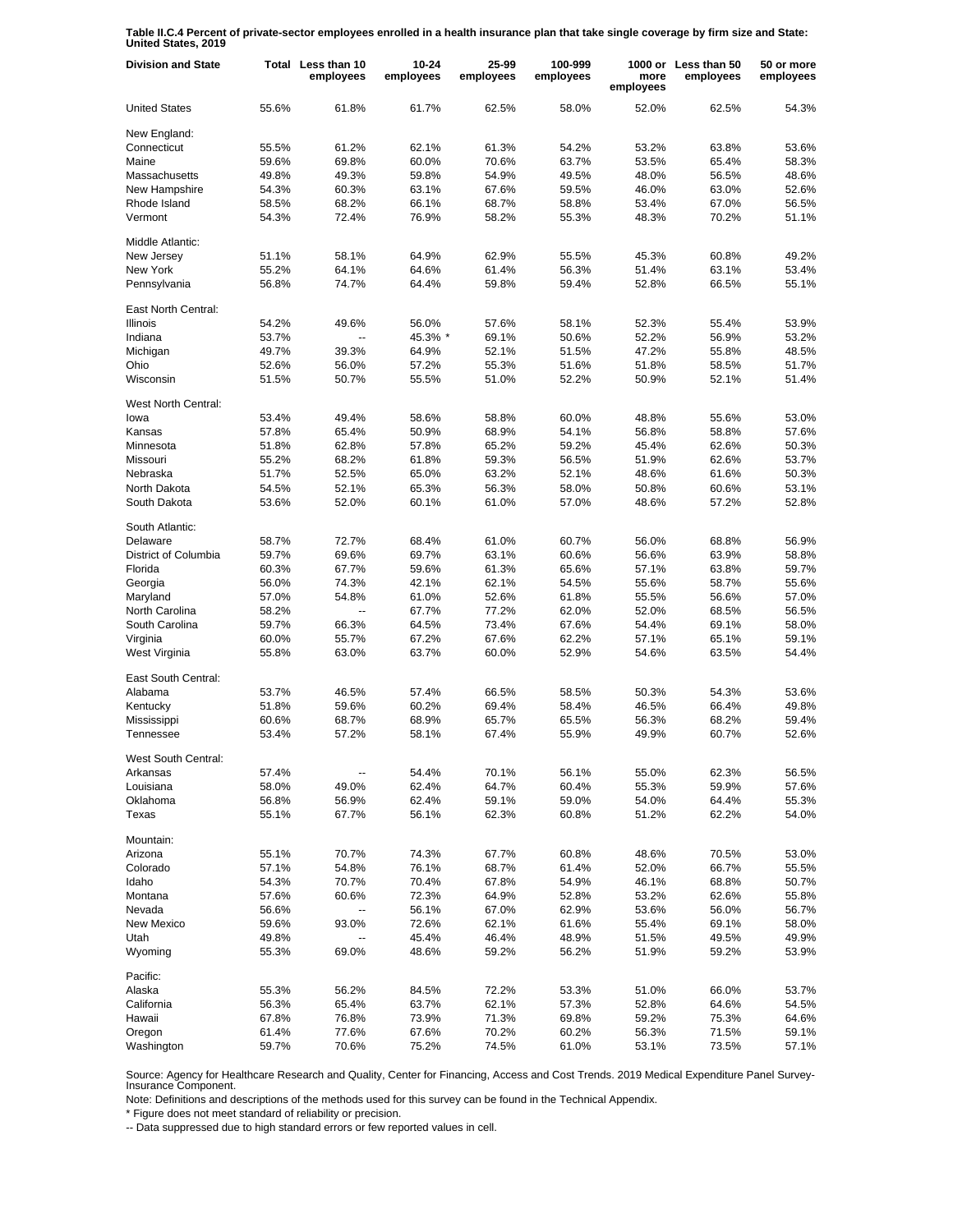**Table II.C.4 Percent of private-sector employees enrolled in a health insurance plan that take single coverage by firm size and State: United States, 2019**

| <b>Division and State</b>   |       | Total Less than 10<br>employees | $10 - 24$<br>employees | 25-99<br>employees | 100-999<br>employees | more<br>employees | 1000 or Less than 50<br>employees | 50 or more<br>employees |
|-----------------------------|-------|---------------------------------|------------------------|--------------------|----------------------|-------------------|-----------------------------------|-------------------------|
| <b>United States</b>        | 55.6% | 61.8%                           | 61.7%                  | 62.5%              | 58.0%                | 52.0%             | 62.5%                             | 54.3%                   |
| New England:                |       |                                 |                        |                    |                      |                   |                                   |                         |
| Connecticut                 | 55.5% | 61.2%                           | 62.1%                  | 61.3%              | 54.2%                | 53.2%             | 63.8%                             | 53.6%                   |
| Maine                       | 59.6% | 69.8%                           | 60.0%                  | 70.6%              | 63.7%                | 53.5%             | 65.4%                             | 58.3%                   |
| Massachusetts               | 49.8% | 49.3%                           | 59.8%                  | 54.9%              | 49.5%                | 48.0%             | 56.5%                             | 48.6%                   |
| New Hampshire               | 54.3% | 60.3%                           | 63.1%                  | 67.6%              | 59.5%                | 46.0%             | 63.0%                             | 52.6%                   |
| Rhode Island                | 58.5% | 68.2%                           | 66.1%                  | 68.7%              | 58.8%                | 53.4%             | 67.0%                             | 56.5%                   |
| Vermont                     | 54.3% | 72.4%                           | 76.9%                  | 58.2%              | 55.3%                | 48.3%             | 70.2%                             | 51.1%                   |
| Middle Atlantic:            |       |                                 |                        |                    |                      |                   |                                   |                         |
| New Jersey                  | 51.1% | 58.1%                           | 64.9%                  | 62.9%              | 55.5%                | 45.3%             | 60.8%                             | 49.2%                   |
| New York                    | 55.2% | 64.1%                           | 64.6%                  | 61.4%              | 56.3%                | 51.4%             | 63.1%                             | 53.4%                   |
| Pennsylvania                | 56.8% | 74.7%                           | 64.4%                  | 59.8%              | 59.4%                | 52.8%             | 66.5%                             | 55.1%                   |
| East North Central:         |       |                                 |                        |                    |                      |                   |                                   |                         |
| <b>Illinois</b>             | 54.2% | 49.6%                           | 56.0%                  | 57.6%              | 58.1%                | 52.3%             | 55.4%                             | 53.9%                   |
| Indiana                     | 53.7% | $\overline{a}$                  | 45.3% *                | 69.1%              | 50.6%                | 52.2%             | 56.9%                             | 53.2%                   |
| Michigan                    | 49.7% | 39.3%                           | 64.9%                  | 52.1%              | 51.5%                | 47.2%             | 55.8%                             | 48.5%                   |
| Ohio                        | 52.6% | 56.0%                           | 57.2%                  | 55.3%              | 51.6%                | 51.8%             | 58.5%                             | 51.7%                   |
| Wisconsin                   | 51.5% | 50.7%                           | 55.5%                  | 51.0%              | 52.2%                | 50.9%             | 52.1%                             | 51.4%                   |
|                             |       |                                 |                        |                    |                      |                   |                                   |                         |
| West North Central:<br>lowa | 53.4% | 49.4%                           | 58.6%                  | 58.8%              | 60.0%                | 48.8%             | 55.6%                             | 53.0%                   |
| Kansas                      | 57.8% | 65.4%                           | 50.9%                  | 68.9%              | 54.1%                | 56.8%             | 58.8%                             | 57.6%                   |
|                             |       |                                 |                        |                    |                      |                   |                                   |                         |
| Minnesota                   | 51.8% | 62.8%                           | 57.8%                  | 65.2%              | 59.2%                | 45.4%             | 62.6%                             | 50.3%                   |
| Missouri                    | 55.2% | 68.2%                           | 61.8%                  | 59.3%              | 56.5%                | 51.9%             | 62.6%                             | 53.7%                   |
| Nebraska                    | 51.7% | 52.5%                           | 65.0%                  | 63.2%              | 52.1%                | 48.6%             | 61.6%                             | 50.3%                   |
| North Dakota                | 54.5% | 52.1%                           | 65.3%                  | 56.3%              | 58.0%                | 50.8%             | 60.6%                             | 53.1%                   |
| South Dakota                | 53.6% | 52.0%                           | 60.1%                  | 61.0%              | 57.0%                | 48.6%             | 57.2%                             | 52.8%                   |
| South Atlantic:             |       |                                 |                        |                    |                      |                   |                                   |                         |
| Delaware                    | 58.7% | 72.7%                           | 68.4%                  | 61.0%              | 60.7%                | 56.0%             | 68.8%                             | 56.9%                   |
| District of Columbia        | 59.7% | 69.6%                           | 69.7%                  | 63.1%              | 60.6%                | 56.6%             | 63.9%                             | 58.8%                   |
| Florida                     | 60.3% | 67.7%                           | 59.6%                  | 61.3%              | 65.6%                | 57.1%             | 63.8%                             | 59.7%                   |
| Georgia                     | 56.0% | 74.3%                           | 42.1%                  | 62.1%              | 54.5%                | 55.6%             | 58.7%                             | 55.6%                   |
| Maryland                    | 57.0% | 54.8%                           | 61.0%                  | 52.6%              | 61.8%                | 55.5%             | 56.6%                             | 57.0%                   |
| North Carolina              | 58.2% |                                 | 67.7%                  | 77.2%              | 62.0%                | 52.0%             | 68.5%                             | 56.5%                   |
| South Carolina              | 59.7% | 66.3%                           | 64.5%                  | 73.4%              | 67.6%                | 54.4%             | 69.1%                             | 58.0%                   |
| Virginia                    | 60.0% | 55.7%                           | 67.2%                  | 67.6%              | 62.2%                | 57.1%             | 65.1%                             | 59.1%                   |
| West Virginia               | 55.8% | 63.0%                           | 63.7%                  | 60.0%              | 52.9%                | 54.6%             | 63.5%                             | 54.4%                   |
| East South Central:         |       |                                 |                        |                    |                      |                   |                                   |                         |
| Alabama                     | 53.7% | 46.5%                           | 57.4%                  | 66.5%              | 58.5%                | 50.3%             | 54.3%                             | 53.6%                   |
| Kentucky                    | 51.8% | 59.6%                           | 60.2%                  | 69.4%              | 58.4%                | 46.5%             | 66.4%                             | 49.8%                   |
| Mississippi                 | 60.6% | 68.7%                           | 68.9%                  | 65.7%              | 65.5%                | 56.3%             | 68.2%                             | 59.4%                   |
| Tennessee                   | 53.4% | 57.2%                           | 58.1%                  | 67.4%              | 55.9%                | 49.9%             | 60.7%                             | 52.6%                   |
| West South Central:         |       |                                 |                        |                    |                      |                   |                                   |                         |
| Arkansas                    | 57.4% |                                 | 54.4%                  | 70.1%              | 56.1%                | 55.0%             | 62.3%                             | 56.5%                   |
| Louisiana                   | 58.0% | 49.0%                           | 62.4%                  | 64.7%              | 60.4%                | 55.3%             | 59.9%                             | 57.6%                   |
| Oklahoma                    | 56.8% | 56.9%                           | 62.4%                  | 59.1%              | 59.0%                | 54.0%             | 64.4%                             | 55.3%                   |
| Texas                       | 55.1% | 67.7%                           | 56.1%                  | 62.3%              | 60.8%                | 51.2%             | 62.2%                             | 54.0%                   |
| Mountain:                   |       |                                 |                        |                    |                      |                   |                                   |                         |
| Arizona                     | 55.1% | 70.7%                           | 74.3%                  | 67.7%              | 60.8%                | 48.6%             | 70.5%                             | 53.0%                   |
| Colorado                    | 57.1% | 54.8%                           | 76.1%                  | 68.7%              | 61.4%                | 52.0%             | 66.7%                             | 55.5%                   |
| Idaho                       | 54.3% | 70.7%                           | 70.4%                  | 67.8%              | 54.9%                | 46.1%             | 68.8%                             | 50.7%                   |
| Montana                     | 57.6% | 60.6%                           | 72.3%                  | 64.9%              | 52.8%                | 53.2%             | 62.6%                             | 55.8%                   |
| Nevada                      |       |                                 |                        |                    |                      |                   |                                   |                         |
|                             | 56.6% |                                 | 56.1%<br>72.6%         | 67.0%              | 62.9%                | 53.6%             | 56.0%                             | 56.7%                   |
| <b>New Mexico</b>           | 59.6% | 93.0%                           |                        | 62.1%              | 61.6%                | 55.4%             | 69.1%                             | 58.0%                   |
| Utah                        | 49.8% |                                 | 45.4%                  | 46.4%              | 48.9%                | 51.5%             | 49.5%                             | 49.9%                   |
| Wyoming                     | 55.3% | 69.0%                           | 48.6%                  | 59.2%              | 56.2%                | 51.9%             | 59.2%                             | 53.9%                   |
| Pacific:                    |       |                                 |                        |                    |                      |                   |                                   |                         |
| Alaska                      | 55.3% | 56.2%                           | 84.5%                  | 72.2%              | 53.3%                | 51.0%             | 66.0%                             | 53.7%                   |
| California                  | 56.3% | 65.4%                           | 63.7%                  | 62.1%              | 57.3%                | 52.8%             | 64.6%                             | 54.5%                   |
| Hawaii                      | 67.8% | 76.8%                           | 73.9%                  | 71.3%              | 69.8%                | 59.2%             | 75.3%                             | 64.6%                   |
| Oregon                      | 61.4% | 77.6%                           | 67.6%                  | 70.2%              | 60.2%                | 56.3%             | 71.5%                             | 59.1%                   |
| Washington                  | 59.7% | 70.6%                           | 75.2%                  | 74.5%              | 61.0%                | 53.1%             | 73.5%                             | 57.1%                   |

Source: Agency for Healthcare Research and Quality, Center for Financing, Access and Cost Trends. 2019 Medical Expenditure Panel Survey-Insurance Component.

Note: Definitions and descriptions of the methods used for this survey can be found in the Technical Appendix.

\* Figure does not meet standard of reliability or precision.

-- Data suppressed due to high standard errors or few reported values in cell.